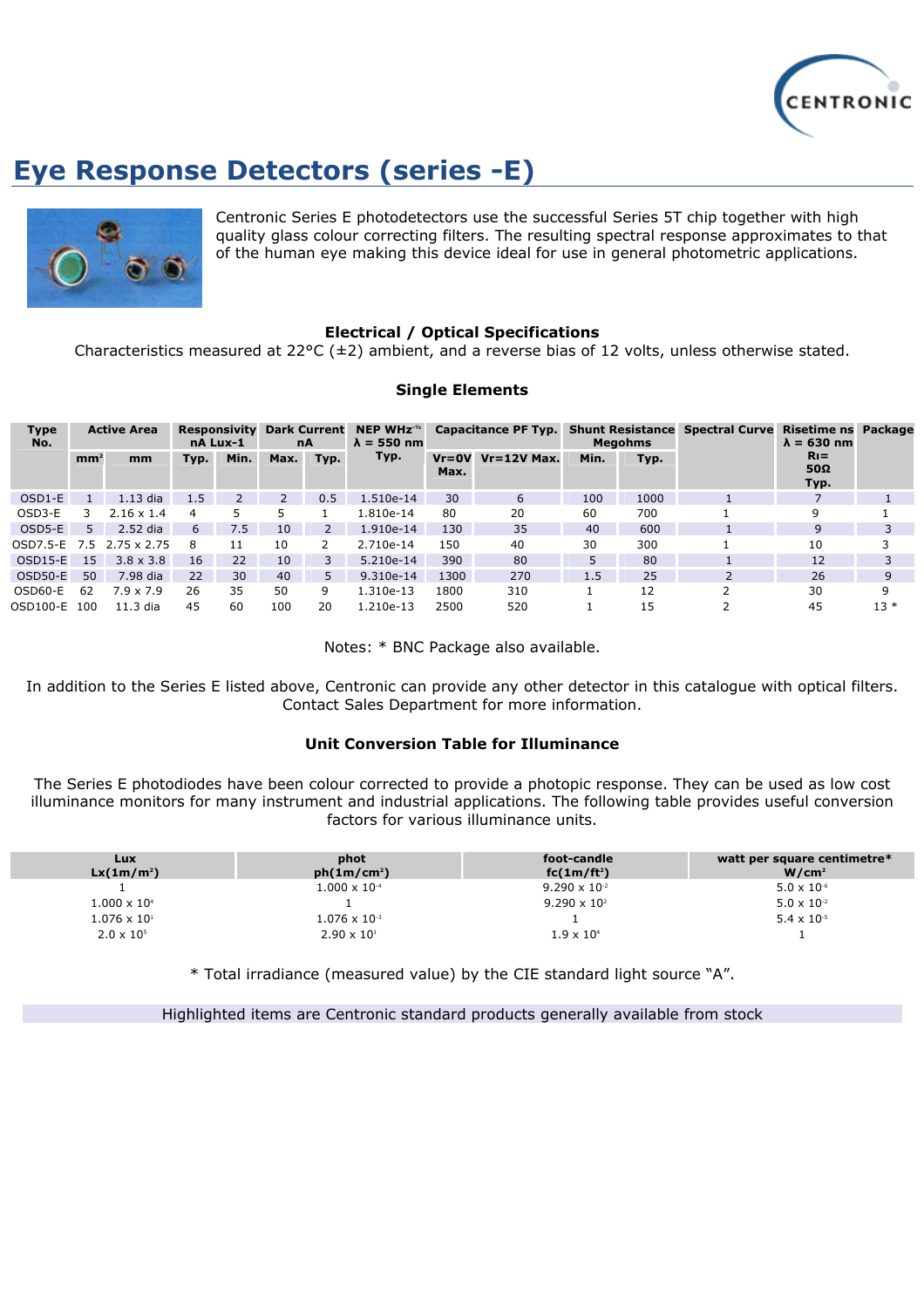

# **Eye Response Detectors (series -E)**



Centronic Series E photodetectors use the successful Series 5T chip together with high quality glass colour correcting filters. The resulting spectral response approximates to that of the human eye making this device ideal for use in general photometric applications.

### **Electrical / Optical Specifications**

Characteristics measured at 22°C ( $\pm$ 2) ambient, and a reverse bias of 12 volts, unless otherwise stated.

#### **Single Elements**

| <b>Type</b><br>No. | <b>Active Area</b> |                   | <b>Responsivity</b><br>nA Lux-1 |      | <b>Dark Current</b><br>nA |                | NEP WH $z-1/2$<br>$\lambda = 550$ nm | Capacitance PF Typ. Shunt Resistance Spectral Curve |                 | <b>Megohms</b> |      | Risetime ns Package<br>$\lambda = 630$ nm |       |
|--------------------|--------------------|-------------------|---------------------------------|------|---------------------------|----------------|--------------------------------------|-----------------------------------------------------|-----------------|----------------|------|-------------------------------------------|-------|
|                    | mm <sup>2</sup>    | mm                | Typ.                            | Min. | Max.                      | Typ.           | Typ.                                 | $Vr = 0V$<br>Max.                                   | $Vr = 12V$ Max. | Min.           | Typ. | $R_{I} =$<br>$50\Omega$<br>Typ.           |       |
| $OSD1-E$           |                    | $1.13$ dia        | 1.5                             |      | 2                         | 0.5            | 1.510e-14                            | 30                                                  | 6               | 100            | 1000 |                                           |       |
| OSD3-E             | 3                  | $2.16 \times 1.4$ | 4                               |      |                           |                | 1.810e-14                            | 80                                                  | 20              | 60             | 700  | 9                                         |       |
| $OSD5-E$           | 5.                 | 2.52 dia          | 6                               | 7.5  | 10                        | $\overline{2}$ | 1.910e-14                            | 130                                                 | 35              | 40             | 600  | 9                                         |       |
| OSD7.5-E 7.5       |                    | 2.75 x 2.75       | 8                               | 11   | 10                        | $\mathcal{P}$  | 2.710e-14                            | 150                                                 | 40              | 30             | 300  | 10                                        |       |
| $OSD15-E$          | 15                 | $3.8 \times 3.8$  | 16                              | 22   | 10                        | 3              | $5.210e-14$                          | 390                                                 | 80              |                | 80   | 12                                        |       |
| $OSD50-E$          | 50                 | 7.98 dia          | 22                              | 30   | 40                        | 5.             | $9.310e-14$                          | 1300                                                | 270             | 1.5            | 25   | 26                                        | 9     |
| OSD60-E            | 62                 | $7.9 \times 7.9$  | 26                              | 35   | 50                        | 9              | 1.310e-13                            | 1800                                                | 310             |                | 12   | 30                                        | 9     |
| OSD100-E 100       |                    | $11.3$ dia        | 45                              | 60   | 100                       | 20             | 1.210e-13                            | 2500                                                | 520             |                | 15   | 45                                        | $13*$ |

Notes: \* BNC Package also available.

In addition to the Series E listed above, Centronic can provide any other detector in this catalogue with optical filters. Contact Sales Department for more information.

#### **Unit Conversion Table for Illuminance**

The Series E photodiodes have been colour corrected to provide a photopic response. They can be used as low cost illuminance monitors for many instrument and industrial applications. The following table provides useful conversion factors for various illuminance units.

| <b>Lux</b><br>$Lx(1m/m^2)$ | phot<br>ph(1m/cm <sup>2</sup> ) | foot-candle<br>$fc(1m/ft^2)$ | watt per square centimetre*<br>W/cm <sup>2</sup> |
|----------------------------|---------------------------------|------------------------------|--------------------------------------------------|
|                            | $1.000 \times 10^{-4}$          | $9.290 \times 10^{-2}$       | $5.0 \times 10^{-6}$                             |
| $1.000 \times 10^{4}$      |                                 | $9.290 \times 10^{2}$        | $5.0 \times 10^{-2}$                             |
| $1.076 \times 10^{1}$      | $1.076 \times 10^{-3}$          |                              | $5.4 \times 10^{-5}$                             |
| $2.0 \times 10^{5}$        | $2.90 \times 10^{1}$            | $1.9 \times 10^{4}$          |                                                  |

\* Total irradiance (measured value) by the CIE standard light source "A".

Highlighted items are Centronic standard products generally available from stock